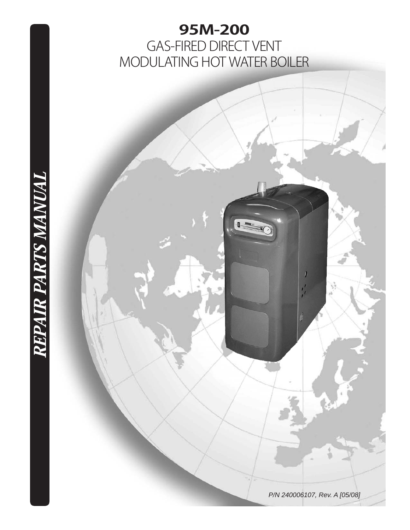# **95M-200** GAS-FIRED DIRECT VENT MODULATING HOT WATER BOILER



REPAIR PARTS MANUAL

**REPAIR PARTS MANUAL**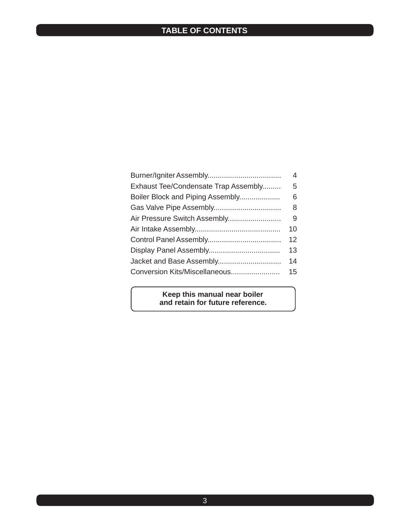## **TABLE OF CONTENTS**

|                                      | 4  |
|--------------------------------------|----|
| Exhaust Tee/Condensate Trap Assembly | 5  |
| Boiler Block and Piping Assembly     | 6  |
|                                      | 8  |
| Air Pressure Switch Assembly         | 9  |
|                                      | 10 |
|                                      | 12 |
|                                      | 13 |
| Jacket and Base Assembly             | 14 |
| Conversion Kits/Miscellaneous        | 15 |
|                                      |    |

#### **Keep this manual near boiler and retain for future reference.**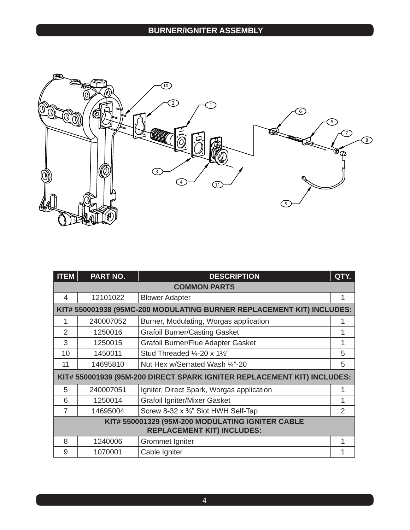

| <b>ITEM</b>                       | <b>PART NO.</b>                                                         | QTY.<br><b>DESCRIPTION</b>                                            |   |  |  |
|-----------------------------------|-------------------------------------------------------------------------|-----------------------------------------------------------------------|---|--|--|
|                                   | <b>COMMON PARTS</b>                                                     |                                                                       |   |  |  |
| 4                                 | 12101022                                                                | <b>Blower Adapter</b>                                                 | 1 |  |  |
|                                   |                                                                         | KIT# 550001938 (95MC-200 MODULATING BURNER REPLACEMENT KIT) INCLUDES: |   |  |  |
| 1                                 | 240007052                                                               | Burner, Modulating, Worgas application                                | 1 |  |  |
| $\overline{2}$                    | 1250016                                                                 | <b>Grafoil Burner/Casting Gasket</b>                                  | 1 |  |  |
| 3                                 | 1250015                                                                 | Grafoil Burner/Flue Adapter Gasket                                    | 1 |  |  |
| 10                                | 1450011                                                                 | Stud Threaded 1/4-20 x 11/2"                                          | 5 |  |  |
| 11                                | 14695810                                                                | Nut Hex w/Serrated Wash 1/4"-20                                       | 5 |  |  |
|                                   | KIT# 550001939 (95M-200 DIRECT SPARK IGNITER REPLACEMENT KIT) INCLUDES: |                                                                       |   |  |  |
| 5                                 | 240007051                                                               | Igniter, Direct Spark, Worgas application                             | 1 |  |  |
| 6                                 | 1250014                                                                 | <b>Grafoil Igniter/Mixer Gasket</b>                                   | 1 |  |  |
| $\overline{7}$                    | 14695004                                                                | Screw 8-32 x %" Slot HWH Self-Tap                                     | 2 |  |  |
|                                   | KIT# 550001329 (95M-200 MODULATING IGNITER CABLE                        |                                                                       |   |  |  |
| <b>REPLACEMENT KIT) INCLUDES:</b> |                                                                         |                                                                       |   |  |  |
| 8                                 | 1240006                                                                 | Grommet Igniter                                                       | 1 |  |  |
| 9                                 | 1070001                                                                 | Cable Igniter                                                         | 1 |  |  |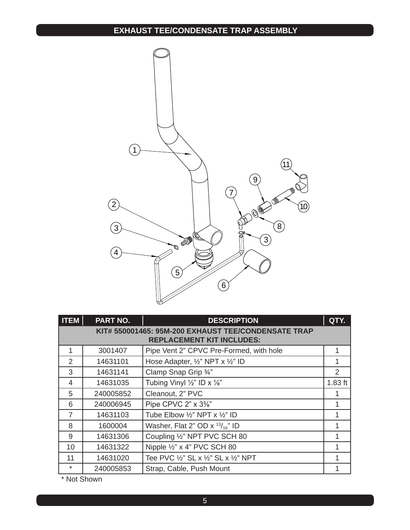## **EXHAUST TEE/CONDENSATE TRAP ASSEMBLY**



| <b>ITEM</b>    | <b>PART NO.</b>                                                                         | <b>DESCRIPTION</b>                                             | QTY.          |
|----------------|-----------------------------------------------------------------------------------------|----------------------------------------------------------------|---------------|
|                | KIT# 550001465: 95M-200 EXHAUST TEE/CONDENSATE TRAP<br><b>REPLACEMENT KIT INCLUDES:</b> |                                                                |               |
| 1              | 3001407                                                                                 | Pipe Vent 2" CPVC Pre-Formed, with hole                        | 1             |
| $\mathcal{P}$  | 14631101                                                                                | Hose Adapter, 1/2" NPT x 1/2" ID                               |               |
| 3              | 14631141                                                                                | Clamp Snap Grip 3/4"                                           | $\mathcal{P}$ |
| 4              | 14631035                                                                                | Tubing Vinyl $\frac{1}{2}$ " ID x $\frac{1}{8}$ "              | $1.83$ ft     |
| 5              | 240005852                                                                               | Cleanout, 2" PVC                                               |               |
| 6              | 240006945                                                                               | Pipe CPVC 2" x 3%"                                             |               |
| $\overline{7}$ | 14631103                                                                                | Tube Elbow $\frac{1}{2}$ " NPT x $\frac{1}{2}$ " ID            |               |
| 8              | 1600004                                                                                 | Washer, Flat 2" OD $\times$ <sup>13</sup> / <sub>16</sub> " ID |               |
| 9              | 14631306                                                                                | Coupling 1/2" NPT PVC SCH 80                                   |               |
| 10             | 14631322                                                                                | Nipple 1/2" x 4" PVC SCH 80                                    | 1             |
| 11             | 14631020                                                                                | Tee PVC 1/2" SL x 1/2" SL x 1/2" NPT                           |               |
| $\ast$         | 240005853                                                                               | Strap, Cable, Push Mount                                       |               |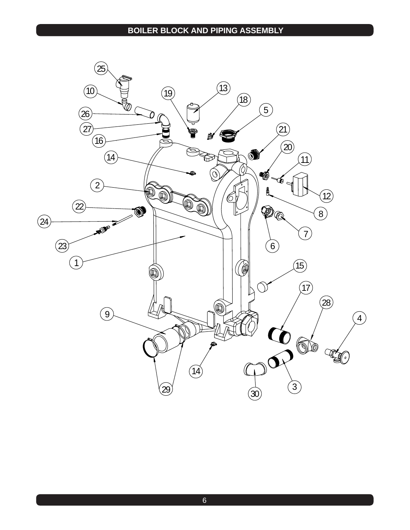#### **BOILER BLOCK AND PIPING assembly**

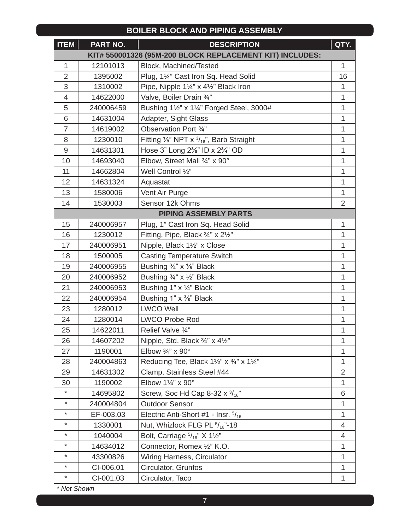#### **BOILER BLOCK AND PIPING assembly**

| <b>ITEM</b>    | PART NO.  | <b>DESCRIPTION</b>                                            |                |
|----------------|-----------|---------------------------------------------------------------|----------------|
|                |           | KIT# 550001326 (95M-200 BLOCK REPLACEMENT KIT) INCLUDES:      |                |
| 1              | 12101013  | Block, Machined/Tested                                        |                |
| $\overline{2}$ | 1395002   | Plug, 1¼" Cast Iron Sq. Head Solid                            | 16             |
| 3              | 1310002   | Pipe, Nipple 11/4" x 41/2" Black Iron                         | 1              |
| $\overline{4}$ | 14622000  | Valve, Boiler Drain 3/4"                                      | 1              |
| 5              | 240006459 | Bushing 11/2" x 11/4" Forged Steel, 3000#                     | 1              |
| 6              | 14631004  | Adapter, Sight Glass                                          | 1              |
| $\overline{7}$ | 14619002  | Observation Port 3/4"                                         | 1              |
| 8              | 1230010   | Fitting $\frac{1}{8}$ " NPT x $\frac{3}{16}$ ", Barb Straight | 1              |
| 9              | 14631301  | Hose 3" Long 2%" ID x 2%" OD                                  | 1              |
| 10             | 14693040  | Elbow, Street Mall 3/4" x 90°                                 | 1              |
| 11             | 14662804  | Well Control 1/2"                                             | 1              |
| 12             | 14631324  | Aquastat                                                      | 1              |
| 13             | 1580006   | Vent Air Purge                                                | 1              |
| 14             | 1530003   | Sensor 12k Ohms                                               | $\overline{2}$ |
|                |           | <b>PIPING ASSEMBLY PARTS</b>                                  |                |
| 15             | 240006957 | Plug, 1" Cast Iron Sq. Head Solid                             | 1              |
| 16             | 1230012   | Fitting, Pipe, Black 3/4" x 21/2"                             | 1              |
| 17             | 240006951 | Nipple, Black 11/2" x Close                                   | 1              |
| 18             | 1500005   | <b>Casting Temperature Switch</b>                             | 1              |
| 19             | 240006955 | Bushing 3/4" x 1/8" Black                                     | 1              |
| 20             | 240006952 | Bushing 3/4" x 1/2" Black                                     |                |
| 21             | 240006953 | Bushing 1" x 1/4" Black                                       |                |
| 22             | 240006954 | Bushing 1" x %" Black                                         |                |
| 23             | 1280012   | <b>LWCO Well</b>                                              |                |
| 24             | 1280014   | <b>LWCO Probe Rod</b>                                         | 1              |
| 25             | 14622011  | Relief Valve 3/4"                                             | 1              |
| 26             | 14607202  | Nipple, Std. Black $\frac{3}{4}$ " x 4 $\frac{1}{2}$ "        | 1              |
| 27             | 1190001   | Elbow $\frac{3}{4}$ " x 90°                                   | 1              |
| 28             | 240004863 | Reducing Tee, Black 11/2" x 3/4" x 11/4"                      | 1              |
| 29             | 14631302  | Clamp, Stainless Steel #44                                    | $\overline{2}$ |
| 30             | 1190002   | Elbow 11/4" x 90°                                             | 1              |
| $\ast$         | 14695802  | Screw, Soc Hd Cap 8-32 x $\frac{3}{16}$ "                     |                |
| $\ast$         | 240004804 | <b>Outdoor Sensor</b>                                         | 1              |
| $\star$        | EF-003.03 | Electric Anti-Short #1 - Insr. $5/16$                         |                |
| $^\star$       | 1330001   | Nut, Whizlock FLG PL $5/16$ "-18                              |                |
| $\star$        | 1040004   | Bolt, Carriage $\frac{5}{16}$ " X 11/2"                       |                |
| $^\star$       | 14634012  | Connector, Romex 1/2" K.O.                                    | $\mathbf{1}$   |
| $^\star$       | 43300826  | Wiring Harness, Circulator                                    | 1              |
| $^\star$       | CI-006.01 | Circulator, Grunfos                                           | $\mathbf{1}$   |
| $\ast$         | CI-001.03 | Circulator, Taco                                              | 1              |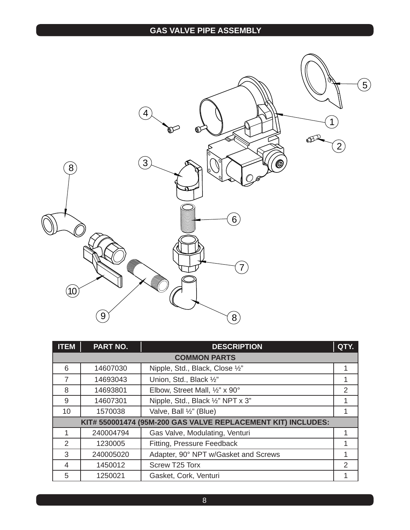## **GAS VALVE PIPE ASSEMBLY**



| <b>ITEM</b>    | <b>PART NO.</b>                                              | <b>DESCRIPTION</b>                   | QTY.           |
|----------------|--------------------------------------------------------------|--------------------------------------|----------------|
|                |                                                              | <b>COMMON PARTS</b>                  |                |
| 6              | 14607030                                                     | Nipple, Std., Black, Close 1/2"      | 1              |
| $\overline{7}$ | 14693043                                                     | Union, Std., Black 1/2"              | 1              |
| 8              | 14693801                                                     | Elbow, Street Mall, 1/2" x 90°       | $\overline{2}$ |
| 9              | 14607301                                                     | Nipple, Std., Black 1/2" NPT x 3"    |                |
| 10             | 1570038                                                      | Valve, Ball 1/2" (Blue)              | 1              |
|                | KIT# 550001474 (95M-200 GAS VALVE REPLACEMENT KIT) INCLUDES: |                                      |                |
|                | 240004794                                                    | Gas Valve, Modulating, Venturi       | 1              |
| 2              | 1230005                                                      | Fitting, Pressure Feedback           |                |
| 3              | 240005020                                                    | Adapter, 90° NPT w/Gasket and Screws | 1              |
| 4              | 1450012                                                      | Screw T25 Torx                       | $\overline{2}$ |
| 5              | 1250021                                                      | Gasket, Cork, Venturi                |                |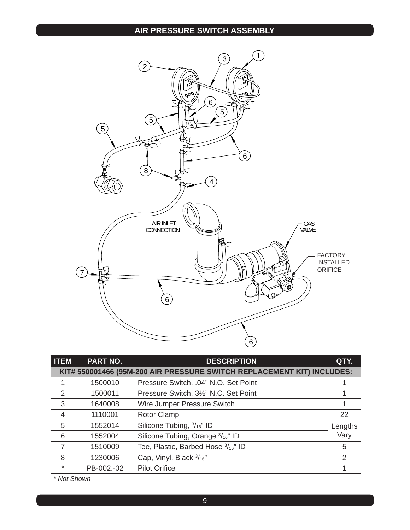#### **AIR PRESSURE SWITCH assembly**



| <b>ITEM</b>    | <b>PART NO.</b> | <b>DESCRIPTION</b>                                                     | QTY.    |
|----------------|-----------------|------------------------------------------------------------------------|---------|
|                |                 | KIT# 550001466 (95M-200 AIR PRESSURE SWITCH REPLACEMENT KIT) INCLUDES: |         |
|                | 1500010         | Pressure Switch, .04" N.O. Set Point                                   |         |
| 2              | 1500011         | Pressure Switch, 3½" N.C. Set Point                                    |         |
| 3              | 1640008         | Wire Jumper Pressure Switch                                            |         |
| $\overline{4}$ | 1110001         | <b>Rotor Clamp</b>                                                     | 22      |
| 5              | 1552014         | Silicone Tubing, 3/16" ID                                              | Lengths |
| 6              | 1552004         | Silicone Tubing, Orange 3/16" ID                                       | Vary    |
| $\overline{7}$ | 1510009         | Tee, Plastic, Barbed Hose 3/16" ID                                     | 5       |
| 8              | 1230006         | Cap, Vinyl, Black 3/16"                                                | 2       |
| $\ast$         | PB-002.-02      | <b>Pilot Orifice</b>                                                   |         |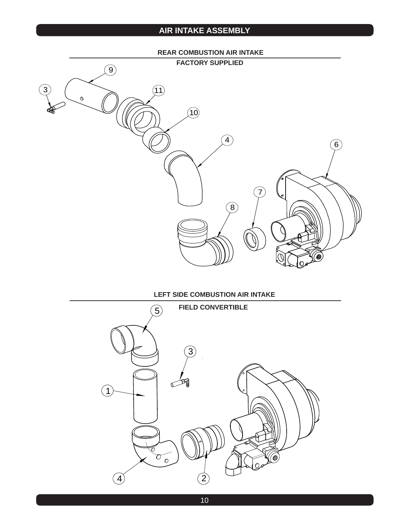## **AIR INTAKE assembly**

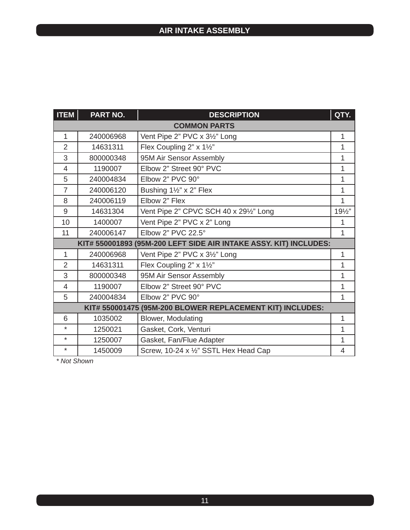| <b>ITEM</b>              | PART NO.                                                             | QTY.<br><b>DESCRIPTION</b>             |                |  |
|--------------------------|----------------------------------------------------------------------|----------------------------------------|----------------|--|
|                          | <b>COMMON PARTS</b>                                                  |                                        |                |  |
| 1                        | 240006968                                                            | Vent Pipe 2" PVC x 31/2" Long          | 1              |  |
| $\overline{2}$           | 14631311                                                             | Flex Coupling 2" x 11/2"               | 1              |  |
| 3                        | 800000348                                                            | 95M Air Sensor Assembly                | 1              |  |
| $\overline{\mathcal{A}}$ | 1190007                                                              | Elbow 2" Street 90° PVC                | 1              |  |
| 5                        | 240004834                                                            | Elbow 2" PVC 90°                       | 1              |  |
| $\overline{7}$           | 240006120                                                            | Bushing 11/2" x 2" Flex                | 1              |  |
| 8                        | 240006119                                                            | Elbow 2" Flex                          | 1              |  |
| 9                        | 14631304                                                             | Vent Pipe 2" CPVC SCH 40 x 291/2" Long | 191/2"         |  |
| 10                       | 1400007                                                              | Vent Pipe 2" PVC x 2" Long             | 1              |  |
| 11                       | 240006147                                                            | Elbow 2" PVC 22.5°                     | 1              |  |
|                          | (95M-200 LEFT SIDE AIR INTAKE ASSY. KIT) INCLUDES:<br>KIT# 550001893 |                                        |                |  |
| 1                        | 240006968                                                            | Vent Pipe 2" PVC x 31/2" Long          | 1              |  |
| $\overline{2}$           | 14631311                                                             | Flex Coupling 2" x 11/2"               | 1              |  |
| 3                        | 800000348                                                            | 95M Air Sensor Assembly                | 1              |  |
| $\overline{\mathcal{A}}$ | 1190007                                                              | Elbow 2" Street 90° PVC                | 1              |  |
| 5                        | 240004834                                                            | Elbow 2" PVC 90°                       | 1              |  |
|                          | KIT# 550001475 (95M-200 BLOWER REPLACEMENT KIT) INCLUDES:            |                                        |                |  |
| 6                        | 1035002                                                              | <b>Blower, Modulating</b>              | $\mathbf{1}$   |  |
| $\star$                  | 1250021                                                              | Gasket, Cork, Venturi                  | 1              |  |
| $\star$                  | 1250007                                                              | Gasket, Fan/Flue Adapter               | 1              |  |
| $\star$                  | 1450009                                                              | Screw, 10-24 x 1/2" SSTL Hex Head Cap  | $\overline{4}$ |  |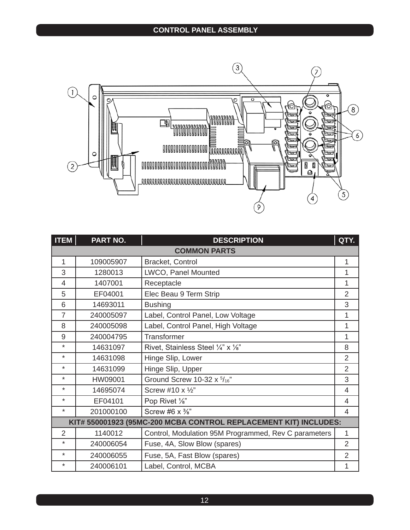

| <b>ITEM</b>    | PART NO.  | QTY.<br><b>DESCRIPTION</b>                                       |                |
|----------------|-----------|------------------------------------------------------------------|----------------|
|                |           | <b>COMMON PARTS</b>                                              |                |
| 1              | 109005907 | Bracket, Control                                                 | 1              |
| 3              | 1280013   | LWCO, Panel Mounted                                              | 1              |
| 4              | 1407001   | Receptacle                                                       | 1              |
| 5              | EF04001   | Elec Beau 9 Term Strip                                           | $\overline{2}$ |
| 6              | 14693011  | <b>Bushing</b>                                                   | 3              |
| $\overline{7}$ | 240005097 | Label, Control Panel, Low Voltage                                | 1              |
| 8              | 240005098 | Label, Control Panel, High Voltage                               | 1              |
| 9              | 240004795 | Transformer                                                      | 1              |
| $\star$        | 14631097  | Rivet, Stainless Steel 1/4" x 1/8"                               | 8              |
| $\star$        | 14631098  | Hinge Slip, Lower                                                | $\overline{2}$ |
| $\star$        | 14631099  | Hinge Slip, Upper                                                | $\overline{2}$ |
| $\star$        | HW09001   | Ground Screw 10-32 $x$ $\frac{5}{16}$ "                          | 3              |
| $\star$        | 14695074  | Screw #10 x 1/2"                                                 | 4              |
| $\star$        | EF04101   | Pop Rivet 1/8"                                                   | 4              |
| $\star$        | 201000100 | Screw #6 $\times$ $\frac{3}{8}$ "                                | 4              |
|                |           | KIT# 550001923 (95MC-200 MCBA CONTROL REPLACEMENT KIT) INCLUDES: |                |
| $\overline{2}$ | 1140012   | Control, Modulation 95M Programmed, Rev C parameters             | 1              |
| $\star$        | 240006054 | Fuse, 4A, Slow Blow (spares)                                     | $\overline{2}$ |
| $\star$        | 240006055 | Fuse, 5A, Fast Blow (spares)                                     | $\overline{2}$ |
| ¥              | 240006101 | Label, Control, MCBA                                             | 1              |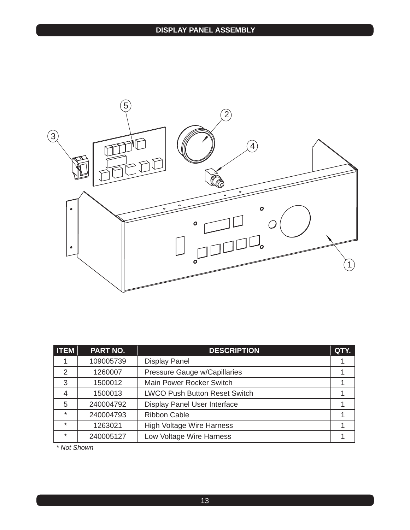

| <b>ITEM</b> | PART NO.  | <b>DESCRIPTION</b>                   | QTY. |
|-------------|-----------|--------------------------------------|------|
|             | 109005739 | <b>Display Panel</b>                 |      |
| 2           | 1260007   | Pressure Gauge w/Capillaries         |      |
| 3           | 1500012   | Main Power Rocker Switch             |      |
| 4           | 1500013   | <b>LWCO Push Button Reset Switch</b> |      |
| 5           | 240004792 | Display Panel User Interface         |      |
| $\star$     | 240004793 | <b>Ribbon Cable</b>                  |      |
| $\star$     | 1263021   | <b>High Voltage Wire Harness</b>     |      |
| $\star$     | 240005127 | Low Voltage Wire Harness             |      |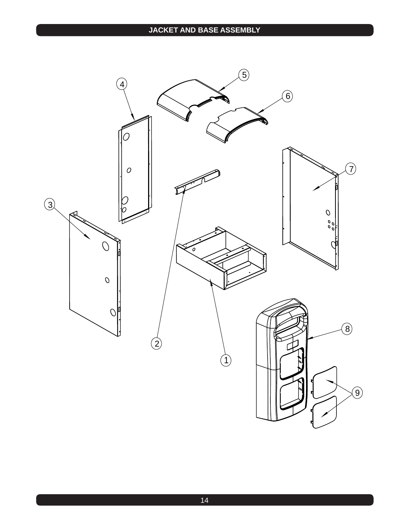